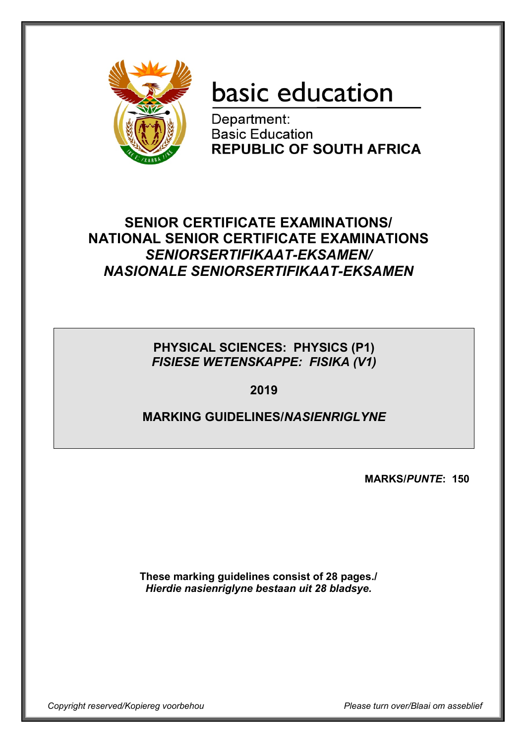

# basic education

Department: **Basic Education REPUBLIC OF SOUTH AFRICA** 

# **SENIOR CERTIFICATE EXAMINATIONS/ NATIONAL SENIOR CERTIFICATE EXAMINATIONS**  *SENIORSERTIFIKAAT-EKSAMEN/ NASIONALE SENIORSERTIFIKAAT-EKSAMEN*

**PHYSICAL SCIENCES: PHYSICS (P1)** *FISIESE WETENSKAPPE: FISIKA (V1)*

**2019**

# **MARKING GUIDELINES/***NASIENRIGLYNE*

**MARKS/***PUNTE***: 150**

**These marking guidelines consist of 28 pages./** *Hierdie nasienriglyne bestaan uit 28 bladsye.*

*Copyright reserved/Kopiereg voorbehou Please turn over/Blaai om asseblief*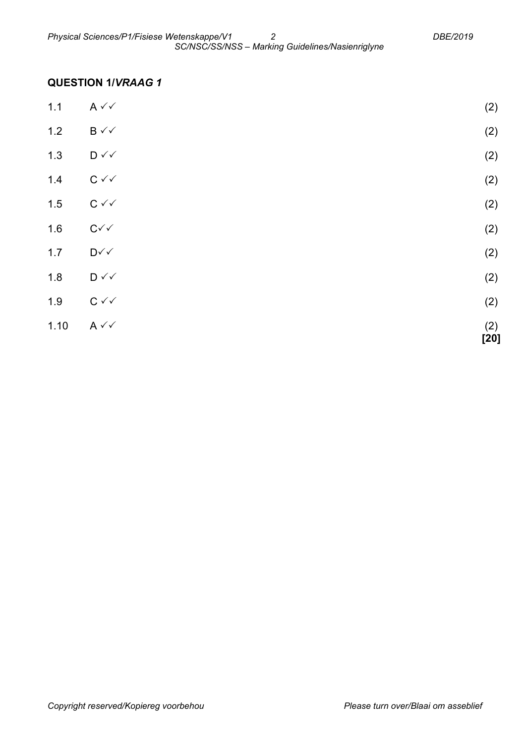# **QUESTION 1/***VRAAG 1*

| 1.10  | $A \vee \vee$                      | (2)<br>$[20]$ |
|-------|------------------------------------|---------------|
| 1.9   | $C \vee C$                         | (2)           |
| 1.8   | $\mathsf{D} \mathsf{v} \mathsf{v}$ | (2)           |
| $1.7$ | $\mathsf{D} \mathsf{v} \mathsf{v}$ | (2)           |
| 1.6   | $C\checkmark$                      | (2)           |
| 1.5   | $C \vee C$                         | (2)           |
| $1.4$ | $C \vee C$                         | (2)           |
| 1.3   | $D \vee \vee$                      | (2)           |
| $1.2$ | $B \vee\checkmark$                 | (2)           |
| 1.1   | $A \vee \vee$                      | (2)           |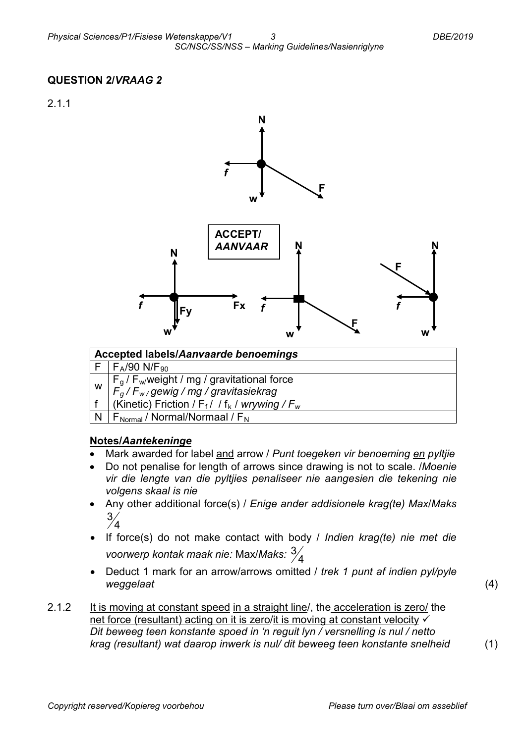# **QUESTION 2/***VRAAG 2*







| <b>Accepted labels/Aanvaarde benoemings</b> |                                                                                                                                                                     |  |  |  |
|---------------------------------------------|---------------------------------------------------------------------------------------------------------------------------------------------------------------------|--|--|--|
|                                             | $F_A$ /90 N/F <sub>90</sub>                                                                                                                                         |  |  |  |
| W                                           | $\left  \frac{F_g}{F_{w'}} \frac{F_{w'}}{F_{w'}}$ weight / mg / gravitational force<br>$\left  \frac{F_g}{F_{w'}} \frac{F_w}{g_{w'}} \right $ / mg / gravitasiekrag |  |  |  |
|                                             | (Kinetic) Friction / $F_f$ / $f_k$ / wrywing / $F_w$                                                                                                                |  |  |  |
|                                             | $F_{Normal}$ / Normal/Normaal / $F_N$                                                                                                                               |  |  |  |

# **Notes/***Aantekeninge*

- Mark awarded for label and arrow / *Punt toegeken vir benoeming en pyltjie*
- Do not penalise for length of arrows since drawing is not to scale. /*Moenie vir die lengte van die pyltjies penaliseer nie aangesien die tekening nie volgens skaal is nie*
- Any other additional force(s) / *Enige ander addisionele krag(te) Max*/*Maks*   $74$ 3
- If force(s) do not make contact with body / *Indien krag(te) nie met die voorwerp kontak maak nie:* Max/*Maks:* <sup>4</sup> 3
- Deduct 1 mark for an arrow/arrows omitted / *trek 1 punt af indien pyl/pyle weggelaat*
- 2.1.2 It is moving at constant speed in a straight line/, the acceleration is zero/ the net force (resultant) acting on it is zero/it is moving at constant velocity  $\checkmark$ *Dit beweeg teen konstante spoed in 'n reguit lyn / versnelling is nul / netto krag (resultant) wat daarop inwerk is nul/ dit beweeg teen konstante snelheid* (1)

(4)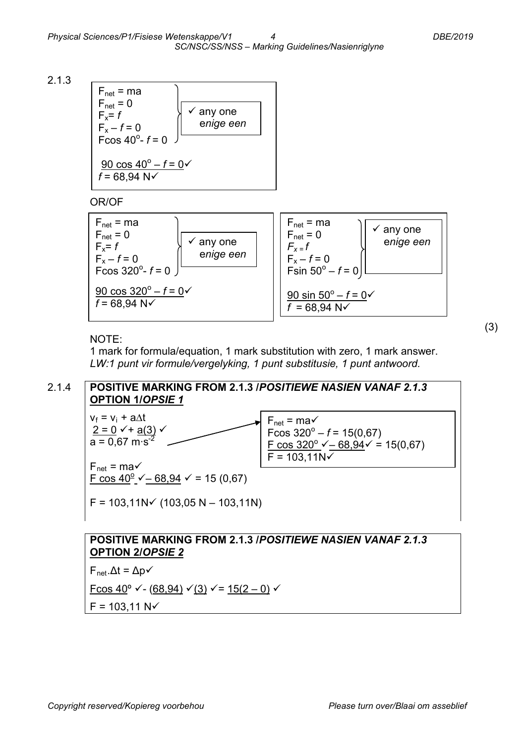2.1.3

| $F_{\text{net}} = \text{ma}$                                |                    |
|-------------------------------------------------------------|--------------------|
| $F_{\text{net}} = 0$                                        | $\checkmark$       |
| $F_x = f$                                                   | $F_x - f = 0$      |
| $F_{\text{COS}} = 40^\circ - f = 0$                         | $\text{enige een}$ |
| $\frac{90 \cos 40^\circ - f = 0}{90 \cos 40^\circ - 1} = 0$ |                    |
| $F = 68.94 \text{ N} \checkmark$                            |                    |

OR/OF



#### NOTE:

1 mark for formula/equation, 1 mark substitution with zero, 1 mark answer. *LW:1 punt vir formule/vergelyking, 1 punt substitusie, 1 punt antwoord.*

# 2.1.4 **POSITIVE MARKING FROM 2.1.3 /***POSITIEWE NASIEN VANAF 2.1.3* **OPTION 1/***OPSIE 1*



(3)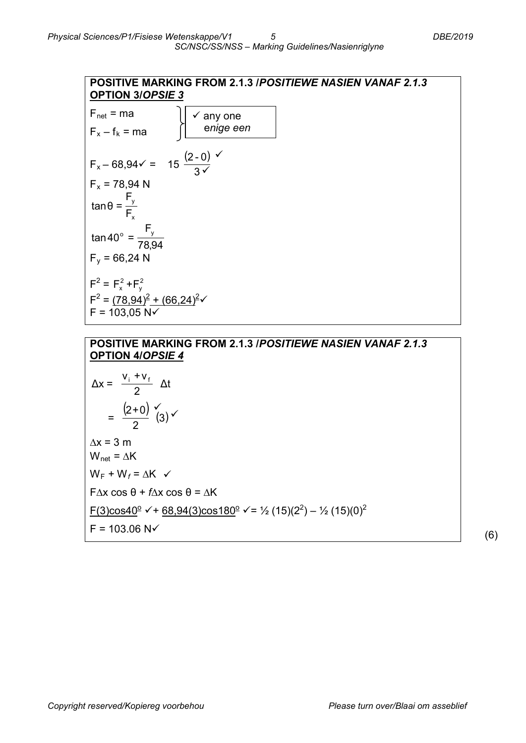# **POSITIVE MARKING FROM 2.1.3 /***POSITIEWE NASIEN VANAF 2.1.3* **OPTION 3/***OPSIE 3*

| $F_{\text{net}}$ = ma<br>$\frac{1}{2}$ any one<br>enige een         |
|---------------------------------------------------------------------|
| $F_x - f_k = ma$                                                    |
| $F_x - 68,94 \checkmark = 15 \frac{(2-0) \checkmark}{3 \checkmark}$ |
| $F_x = 78.94$ N                                                     |
| $\tan\theta = \frac{F_y}{F}$                                        |
| $tan 40^{\circ} = \frac{F_y}{78.94}$                                |
| $F_v = 66,24 N$                                                     |
| $F^2 = F_x^2 + F_y^2$                                               |
| $F^2 = (78.94)^2 + (66.24)^2$<br>$F = 103.05 N0$                    |

#### **POSITIVE MARKING FROM 2.1.3 /***POSITIEWE NASIEN VANAF 2.1.3* **OPTION 4/***OPSIE 4*

$$
\Delta x = \frac{v_i + v_f}{2} \Delta t
$$
  
\n
$$
= \frac{(2+0) \checkmark}{2} (3) \checkmark
$$
  
\n
$$
\Delta x = 3 \text{ m}
$$
  
\n
$$
W_{\text{net}} = \Delta K
$$
  
\n
$$
W_F + W_f = \Delta K \checkmark
$$
  
\n
$$
F \Delta x \cos \theta + f \Delta x \cos \theta = \Delta K
$$
  
\n
$$
\frac{F(3)\cos 40^\circ}{2} \checkmark + \frac{68,94(3)\cos 180^\circ}{2} \checkmark = \frac{1}{2} (15)(2^2) - \frac{1}{2} (15)(0)^2
$$
  
\n
$$
F = 103.06 \text{ N} \checkmark
$$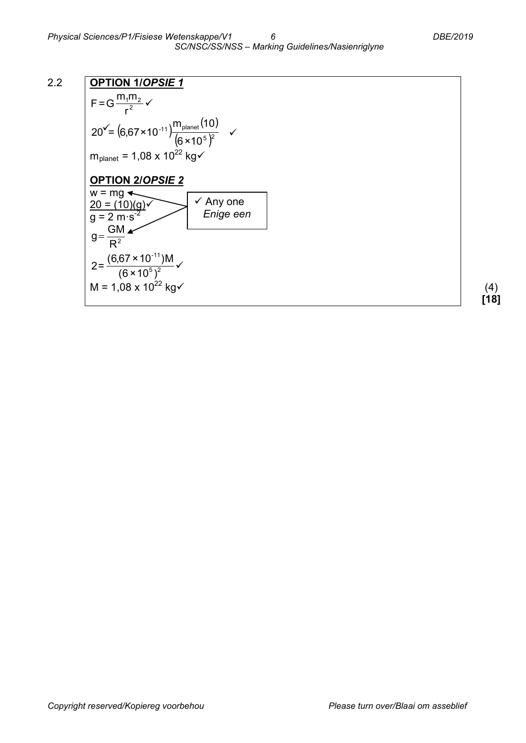

**[18]**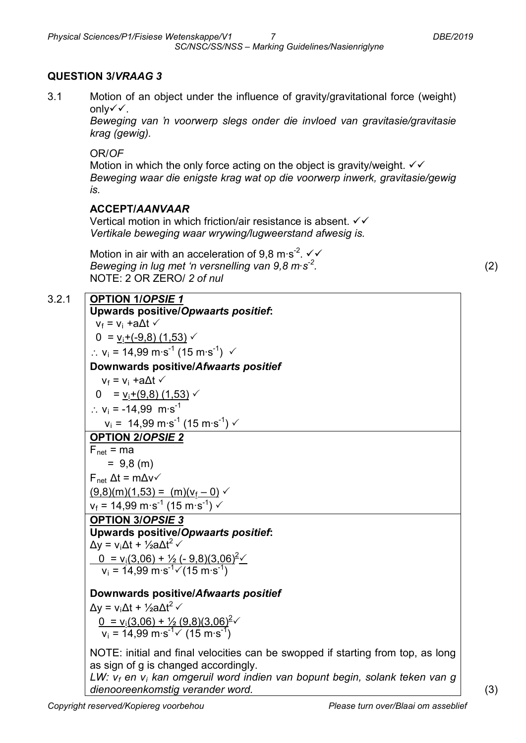*Physical Sciences/P1/Fisiese Wetenskappe/V1 7 DBE/2019 SC/NSC/SS/NSS – Marking Guidelines/Nasienriglyne*

# **QUESTION 3/***VRAAG 3*

3.1 Motion of an object under the influence of gravity/gravitational force (weight) only $\checkmark$ .

*Beweging van 'n voorwerp slegs onder die invloed van gravitasie/gravitasie krag (gewig).*

OR/*OF*

Motion in which the only force acting on the object is gravity/weight.  $\checkmark\checkmark$ *Beweging waar die enigste krag wat op die voorwerp inwerk, gravitasie/gewig is.*

# **ACCEPT/***AANVAAR*

Vertical motion in which friction/air resistance is absent.  $\checkmark\checkmark$ *Vertikale beweging waar wrywing/lugweerstand afwesig is.*

Motion in air with an acceleration of 9,8 m⋅s<sup>-2</sup>.  $\checkmark\checkmark$ *Beweging in lug met 'n versnelling van 9,8 m∙s-2* NOTE: 2 OR ZERO/ *2 of nul*

*.* (2)

# 3.2.1 **OPTION 1/***OPSIE 1* **Upwards positive/***Opwaarts positief***:**  $v_f = v_i + a\Delta t$  $0 = v_i + (-9.8) (1.53)$ ∴  $v_i = 14,99 \text{ m} \cdot \text{s}^{-1} (15 \text{ m} \cdot \text{s}^{-1})$   $\checkmark$ **Downwards positive/***Afwaarts positief*  $v_f = v_i + a\Delta t$  $0 = v_i + (9,8) (1,53)$ ∴  $v_i = -14,99$  m⋅s<sup>-1</sup>  $v_i = 14,99 \text{ m}·\text{s}^{-1}$  (15 m⋅ $\text{s}^{-1}$ )  $\checkmark$ **OPTION 2/***OPSIE 2*  $F_{net}$  = ma  $= 9.8$  (m)  $F_{net}$  Δt = mΔv $\checkmark$  $(9,8)(m)(1,53) = (m)(v_f - 0)$  $v_f$  = 14,99 m·s<sup>-1</sup> (15 m·s<sup>-1</sup>)  $\checkmark$ **OPTION 3/***OPSIE 3* **Upwards positive/***Opwaarts positief***:**  $Δy = v<sub>i</sub>Δt + 1/2aΔt<sup>2</sup>$  $0 = v_1(3,06) + \frac{1}{2}( -9,8)(3,06)^2$  $v_i = 14,99 \text{ m} \cdot \text{s}^{-1} \checkmark (15 \text{ m} \cdot \text{s}^{-1})$ **Downwards positive/***Afwaarts positief*  $Δy = v<sub>i</sub>Δt + 1/2aΔt<sup>2</sup>$  $0 = v_1(3,06) + \frac{1}{2}(9,8)(3,06)^2$  $v_i = 14,99 \text{ m} \cdot \text{s}^{-1}$  (15 m⋅s<sup>-1</sup>) NOTE: initial and final velocities can be swopped if starting from top, as long as sign of g is changed accordingly.

*LW: vf en vi kan omgeruil word indien van bopunt begin, solank teken van g dienooreenkomstig verander word.* (3)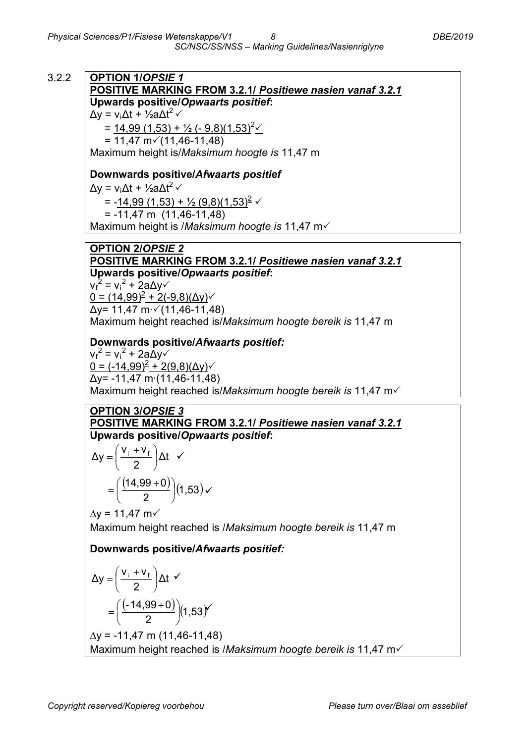3.2.2 **OPTION 1/***OPSIE 1* **POSITIVE MARKING FROM 3.2.1/** *Positiewe nasien vanaf 3.2.1* **Upwards positive/***Opwaarts positief***:**  $\Delta y = v_i \Delta t + \frac{1}{2} a \Delta t^2$   $\checkmark$ = <u>14,99 (1,53) + ½ (- 9,8)(1,53)<sup>2</sup>√</u>  $= 11.47 \text{ m} \cdot (11.46 - 11.48)$ Maximum height is/*Maksimum hoogte is* 11,47 m **Downwards positive/***Afwaarts positief*  $Δy = v<sub>i</sub>Δt + 1/2aΔt<sup>2</sup>$  $=$  -14,99 (1,53) +  $\frac{1}{2}$  (9,8)(1,53)<sup>2</sup>  $\checkmark$  = -11,47 m (11,46-11,48) Maximum height is /*Maksimum hoogte is* 11,47 m **OPTION 2/***OPSIE 2* **POSITIVE MARKING FROM 3.2.1/** *Positiewe nasien vanaf 3.2.1* **Upwards positive/***Opwaarts positief***:**  $v_f^2 = v_i^2 + 2a\Delta y$  $0 = (14.99)^2 + 2(-9.8)(Δy)$ Δy= 11,47 m∙(11,46-11,48) Maximum height reached is/*Maksimum hoogte bereik is* 11,47 m **Downwards positive/***Afwaarts positief:*  $v_f^2 = v_i^2 + 2a\Delta y$  $0 = (-14.99)^{2} + 2(9.8)(Δy)$ 

Δy= -11,47 m∙(11,46-11,48) Maximum height reached is/*Maksimum hoogte bereik is* 11,47 m

# **OPTION 3/***OPSIE 3* **POSITIVE MARKING FROM 3.2.1/** *Positiewe nasien vanaf 3.2.1* **Upwards positive/***Opwaarts positief***:**

$$
\Delta y = \left(\frac{v_i + v_f}{2}\right) \Delta t \quad \checkmark
$$

$$
= \left(\frac{(14.99 + 0)}{2}\right) (1.53) \checkmark
$$

 $\Delta v = 11.47$  m $\sqrt{ }$ Maximum height reached is /*Maksimum hoogte bereik is* 11,47 m

**Downwards positive/***Afwaarts positief:*

$$
\Delta y = \left(\frac{v_1 + v_1}{2}\right) \Delta t
$$
  
=  $\left(\frac{(-14.99 + 0)}{2}\right) (1.53)$   

$$
\Delta y = -11.47 \text{ m } (11.46 - 11.48)
$$
  
Maximum height reached is */Maksimum hoogte bereik is* 11.47 m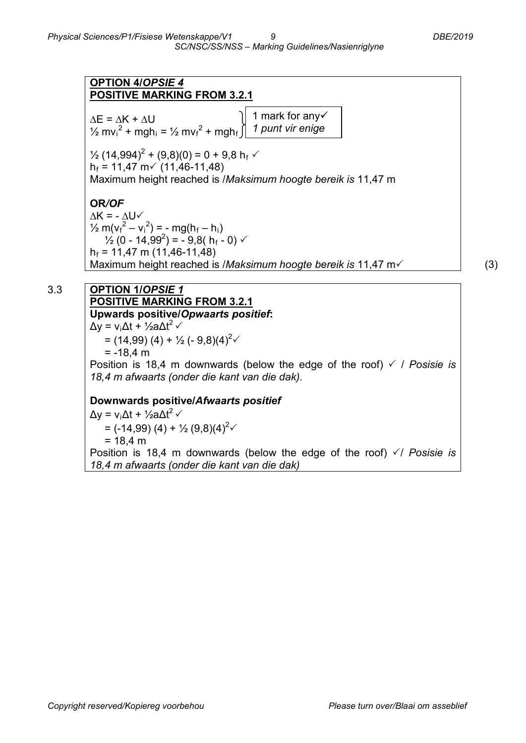**OPTION 4/***OPSIE 4* **POSITIVE MARKING FROM 3.2.1**  $\Delta E = \Delta K + \Delta U$  $\frac{1}{2}$  mv<sub>i</sub><sup>2</sup> + mgh<sub>i</sub> =  $\frac{1}{2}$  mv<sub>i</sub><sup>2</sup> + mgh<sub>i</sub>  $\frac{1}{2}$  (14,994)<sup>2</sup> + (9,8)(0) = 0 + 9,8 h<sub>f</sub>  $\checkmark$  $h_f = 11,47$  m $\checkmark$  (11,46-11,48) Maximum height reached is /*Maksimum hoogte bereik is* 11,47 m **OR***/OF*  $\Delta K = - \Delta U \sqrt{2}$  $\frac{1}{2}$  m(v<sub>f</sub><sup>2</sup> – v<sub>i</sub><sup>2</sup>) = - mg(h<sub>f</sub> – h<sub>i</sub>)  $\frac{1}{2}$  (0 - 14,99<sup>2</sup>) = - 9,8( h<sub>f</sub> - 0)  $\checkmark$  $h_f$  = 11,47 m (11,46-11,48) Maximum height reached is */Maksimum hoogte bereik is* 11,47 m<sup>/</sup> (3) 3.3 **OPTION 1/***OPSIE 1* **POSITIVE MARKING FROM 3.2.1 Upwards positive/***Opwaarts positief***:**  $\Delta y = v_i \Delta t + \frac{1}{2} a \Delta t^2$   $\checkmark$ = (14,99) (4) + ½ (- 9,8)(4)<sup>2</sup> $\checkmark$  $= -18.4$  m Position is 18,4 m downwards (below the edge of the roof)  $\checkmark$  / Posisie is *18,4 m afwaarts (onder die kant van die dak).* **Downwards positive/***Afwaarts positief*  $Δy = v<sub>i</sub>Δt + 1/2aΔt<sup>2</sup>$   $\checkmark$ = (-14,99) (4) + ½ (9,8)(4)<sup>2</sup> $\checkmark$  $= 18,4 m$ Position is 18,4 m downwards (below the edge of the roof)  $\sqrt{ }$  *Posisie is 18,4 m afwaarts (onder die kant van die dak)* 1 mark for any *1 punt vir enige*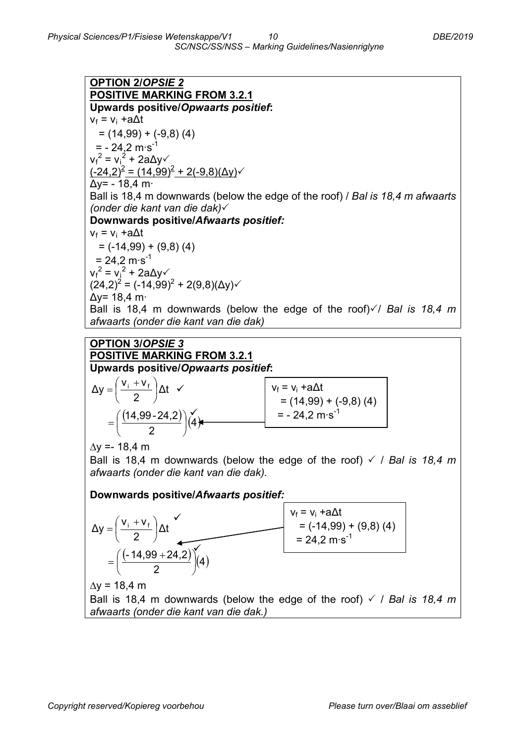**OPTION 2/***OPSIE 2* **POSITIVE MARKING FROM 3.2.1 Upwards positive/***Opwaarts positief***:**  $v_f = v_i + a\Delta t$  $=$  (14,99) + (-9,8) (4)  $= -24.2 \text{ m·s}^{-1}$  $v_f^2 = v_i^2 + 2a\Delta y$  $(-24,2)^2 = (14,99)^2 + 2(-9,8)(\Delta y)$ Δy= - 18,4 m∙ Ball is 18,4 m downwards (below the edge of the roof) / *Bal is 18,4 m afwaarts (onder die kant van die dak)* **Downwards positive/***Afwaarts positief:*  $v_f = v_i + a\Delta t$  $= (-14,99) + (9,8)$  (4)  $= 24.2 \text{ m·s}^{-1}$  $v_f^2 = v_i^2 + 2aΔy$  $(24,2)^2 = (-14,99)^2 + 2(9,8)(\Delta y)$ Δy= 18,4 m∙ Ball is 18,4 m downwards (below the edge of the roof) $\sqrt{}$  *Bal is 18,4 m* 

#### **OPTION 3/***OPSIE 3* **POSITIVE MARKING FROM 3.2.1 Upwards positive/***Opwaarts positief***:**

*afwaarts (onder die kant van die dak)*

 $\Delta y = \left(\frac{V_i + V_f}{2}\right) \Delta t \quad$  $\big| v_f = v_i + a\Lambda t$ 

$$
= \left(\frac{(14,99 \cdot 24,2)}{2}\right)\left(4\right) = -24.2 \text{ m} \cdot \text{s}^{-1}
$$

∆y =- 18,4 m

Ball is 18.4 m downwards (below the edge of the roof)  $\checkmark$  / Bal is 18.4 m *afwaarts (onder die kant van die dak).*

# **Downwards positive/***Afwaarts positief:*



Ball is 18,4 m downwards (below the edge of the roof)  $\checkmark$  / Bal is 18,4 m *afwaarts (onder die kant van die dak.)*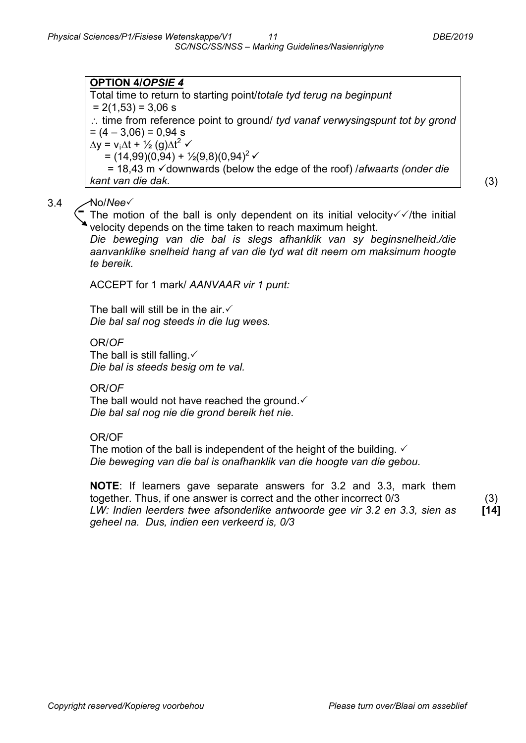#### **OPTION 4/***OPSIE 4*

Total time to return to starting point/*totale tyd terug na beginpunt*  $= 2(1,53) = 3,06$  s ∴ time from reference point to ground/ *tyd vanaf verwysingspunt tot by grond*  $= (4 - 3.06) = 0.94$  s  $\Delta y = v_i \Delta t + \frac{1}{2} (g) \Delta t^2$   $\checkmark$  $= (14,99)(0,94) + \frac{1}{2}(9,8)(0,94)^2$  $= 18,43$  m  $\checkmark$  downwards (below the edge of the roof) */afwaarts (onder die kant van die dak.* (3)

#### 3.4 No/*Nee*

The motion of the ball is only dependent on its initial velocity  $\checkmark$  the initial velocity depends on the time taken to reach maximum height.  $\leq$ 

*Die beweging van die bal is slegs afhanklik van sy beginsnelheid./die aanvanklike snelheid hang af van die tyd wat dit neem om maksimum hoogte te bereik.*

ACCEPT for 1 mark/ *AANVAAR vir 1 punt:*

The ball will still be in the air.  $\checkmark$ *Die bal sal nog steeds in die lug wees.*

OR/*OF* The ball is still falling  $\checkmark$ *Die bal is steeds besig om te val.*

OR/*OF* The ball would not have reached the ground. $\checkmark$ *Die bal sal nog nie die grond bereik het nie.*

OR/OF

The motion of the ball is independent of the height of the building.  $\checkmark$ *Die beweging van die bal is onafhanklik van die hoogte van die gebou*.

**NOTE**: If learners gave separate answers for 3.2 and 3.3, mark them together. Thus, if one answer is correct and the other incorrect 0/3 *LW: Indien leerders twee afsonderlike antwoorde gee vir 3.2 en 3.3, sien as geheel na. Dus, indien een verkeerd is, 0/3* (3) **[14]**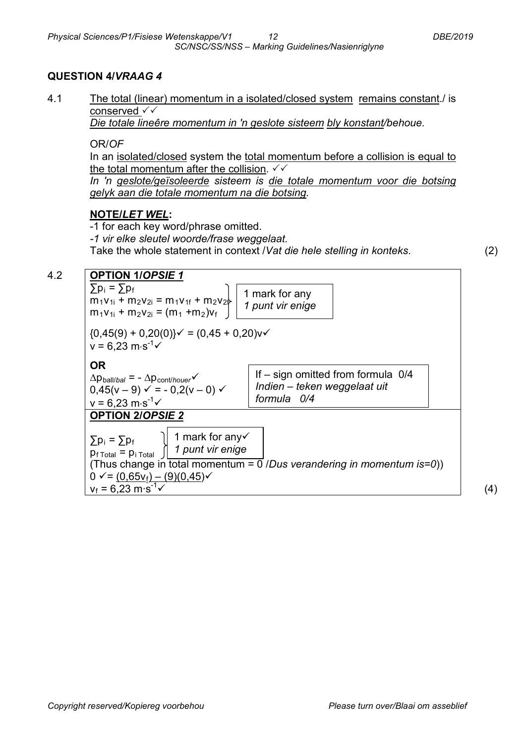**QUESTION 4/***VRAAG 4*

4.1 The total (linear) momentum in a isolated/closed system remains constant./ is conserved √√

*Die totale lineêre momentum in 'n geslote sisteem bly konstant/behoue.*

OR/*OF*

In an isolated/closed system the total momentum before a collision is equal to the total momentum after the collision.  $\checkmark\checkmark$ 

*SC/NSC/SS/NSS – Marking Guidelines/Nasienriglyne*

*In 'n geslote/geïsoleerde sisteem is die totale momentum voor die botsing gelyk aan die totale momentum na die botsing.*

#### **NOTE/***LET WEL***:**

- -1 for each key word/phrase omitted.
- *-1 vir elke sleutel woorde/frase weggelaat.*

Take the whole statement in context /*Vat die hele stelling in konteks*. (2)

# 4.2 **OPTION 1/***OPSIE 1*

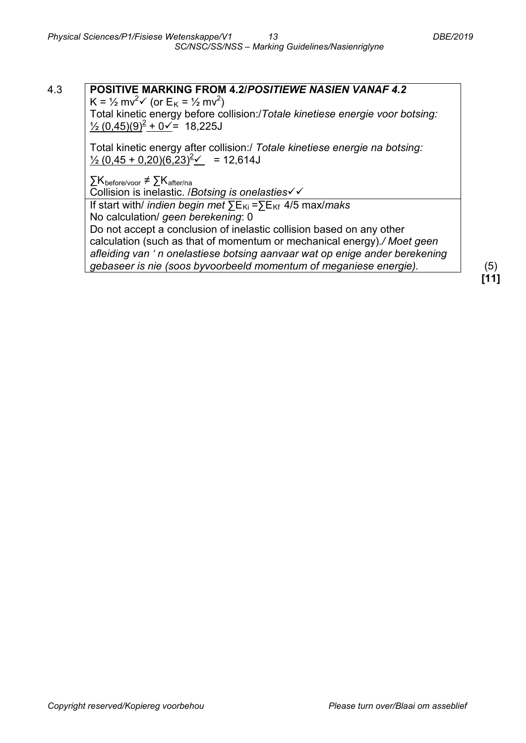4.3 **POSITIVE MARKING FROM 4.2/***POSITIEWE NASIEN VANAF 4.2*  $K = \frac{1}{2}mv^2$  (or  $E_K = \frac{1}{2}mv^2$ ) Total kinetic energy before collision:/*Totale kinetiese energie voor botsing:*  $\frac{1}{2}$  (0,45)(9)<sup>2</sup> + 0 $\checkmark$  = 18,225J Total kinetic energy after collision:/ *Totale kinetiese energie na botsing:*  $\frac{1}{2}$  (0,45 + 0,20)(6,23)<sup>2</sup> $\checkmark$  = 12,614J ∑Kbefore/voor ≠ ∑Kafter/na Collision is inelastic. /*Botsing is onelasties* If start with/ *indien begin met* ∑E<sub>Ki</sub> =∑E<sub>Kf</sub> 4/5 max/*maks* No calculation/ *geen berekening*: 0 Do not accept a conclusion of inelastic collision based on any other calculation (such as that of momentum or mechanical energy)*./ Moet geen afleiding van ' n onelastiese botsing aanvaar wat op enige ander berekening gebaseer is nie (soos byvoorbeeld momentum of meganiese energie).* (5)

**[11]**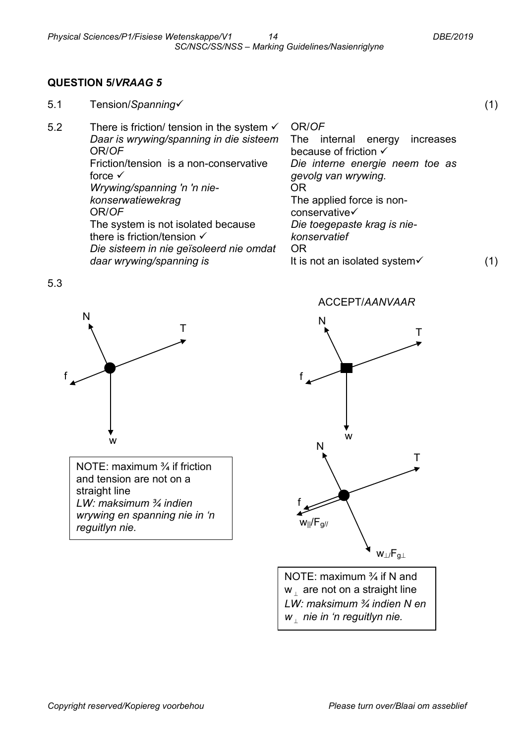# **QUESTION 5/***VRAAG 5*

5.1 Tension/*Spanning* (1)

5.2 There is friction/ tension in the system  $\checkmark$ *Daar is wrywing/spanning in die sisteem* OR/*OF* Friction/tension is a non-conservative force  $\checkmark$ *Wrywing/spanning 'n 'n niekonserwatiewekrag* OR/*OF* The system is not isolated because there is friction/tension  $\checkmark$ *Die sisteem in nie geïsoleerd nie omdat daar wrywing/spanning is* OR OR

OR/*OF* The internal energy increases because of friction  $\checkmark$ *Die interne energie neem toe as gevolg van wrywing.* The applied force is nonconservative *Die toegepaste krag is niekonservatief* It is not an isolated system  $(1)$ 

5.3



NOTE: maximum ¾ if friction and tension are not on a straight line *LW: maksimum ¾ indien wrywing en spanning nie in 'n reguitlyn nie.*

ACCEPT/*AANVAAR*



NOTE: maximum ¾ if N and  $w_1$  are not on a straight line *LW: maksimum ¾ indien N en w* ∟ *nie in 'n reguitlyn nie.*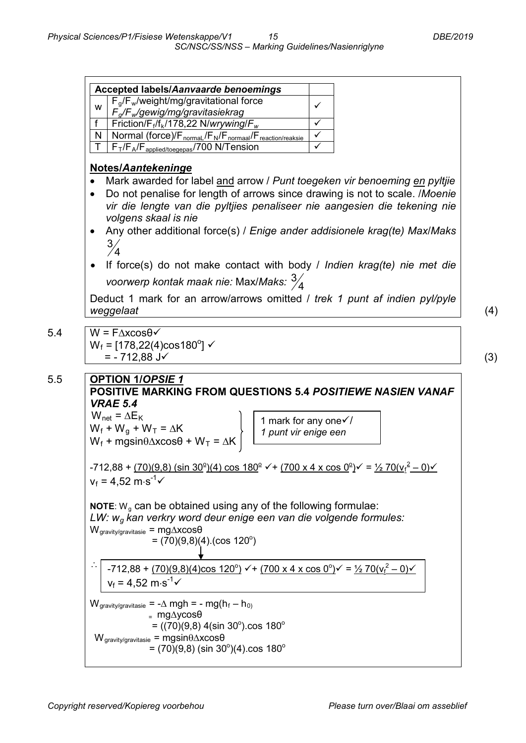| <b>Accepted labels/Aanvaarde benoemings</b>                                                                                                                                                                                    |                                                     |              |  |
|--------------------------------------------------------------------------------------------------------------------------------------------------------------------------------------------------------------------------------|-----------------------------------------------------|--------------|--|
| $F_g/F_w$ /weight/mg/gravitational force<br>W                                                                                                                                                                                  |                                                     | ✓            |  |
| $F_q/F_w$ /gewig/mg/gravitasiekrag                                                                                                                                                                                             |                                                     |              |  |
| Friction/F <sub>f</sub> /f <sub>k</sub> /178,22 N/wrywing/F <sub>w</sub><br>f                                                                                                                                                  |                                                     | ✓            |  |
| Normal (force)/F <sub>normal</sub> /F <sub>N</sub> /F <sub>normaal</sub> /F <sub>reaction/reaksie</sub><br>N                                                                                                                   |                                                     | ✓            |  |
| $\top$<br>$F_T/F_A/F_{\text{applied/toeqepas}}$ /700 N/Tension                                                                                                                                                                 |                                                     | $\checkmark$ |  |
| Notes/Aantekeninge                                                                                                                                                                                                             |                                                     |              |  |
| Mark awarded for label and arrow / Punt toegeken vir benoeming en pyltjie                                                                                                                                                      |                                                     |              |  |
| Do not penalise for length of arrows since drawing is not to scale. /Moenie                                                                                                                                                    |                                                     |              |  |
| vir die lengte van die pyltjies penaliseer nie aangesien die tekening nie                                                                                                                                                      |                                                     |              |  |
| volgens skaal is nie                                                                                                                                                                                                           |                                                     |              |  |
| Any other additional force(s) / Enige ander addisionele krag(te) Max/Maks                                                                                                                                                      |                                                     |              |  |
| $\frac{3}{4}$                                                                                                                                                                                                                  |                                                     |              |  |
|                                                                                                                                                                                                                                |                                                     |              |  |
| If force(s) do not make contact with body / Indien $krag(te)$ nie met die                                                                                                                                                      |                                                     |              |  |
| voorwerp kontak maak nie: Max/Maks: $\frac{3}{4}$                                                                                                                                                                              |                                                     |              |  |
|                                                                                                                                                                                                                                |                                                     |              |  |
| Deduct 1 mark for an arrow/arrows omitted / trek 1 punt af indien pyl/pyle<br>weggelaat                                                                                                                                        |                                                     |              |  |
|                                                                                                                                                                                                                                |                                                     |              |  |
|                                                                                                                                                                                                                                |                                                     |              |  |
|                                                                                                                                                                                                                                |                                                     |              |  |
| $W = F\Delta x \cos \theta \sqrt{}$                                                                                                                                                                                            |                                                     |              |  |
| $W_f = [178, 22(4) \cos 180^\circ]$ $\checkmark$                                                                                                                                                                               |                                                     |              |  |
| $= -712,88$ J $\checkmark$                                                                                                                                                                                                     |                                                     |              |  |
|                                                                                                                                                                                                                                |                                                     |              |  |
| <b>OPTION 1/OPSIE 1</b>                                                                                                                                                                                                        |                                                     |              |  |
| <b>POSITIVE MARKING FROM QUESTIONS 5.4 POSITIEWE NASIEN VANAF</b>                                                                                                                                                              |                                                     |              |  |
| <b>VRAE 5.4</b>                                                                                                                                                                                                                |                                                     |              |  |
| $W_{\text{net}} = \Delta E_K$                                                                                                                                                                                                  | 1 mark for any one $\checkmark$ /                   |              |  |
| $W_f + W_g + W_T = \Delta K$                                                                                                                                                                                                   | 1 punt vir enige een                                |              |  |
| $W_f$ + mgsin $\theta \Delta x \cos \theta$ + $W_T$ = $\Delta K$                                                                                                                                                               |                                                     |              |  |
|                                                                                                                                                                                                                                |                                                     |              |  |
| -712,88 + <u>(70)(9,8) (sin 30<sup>o</sup>)(4) cos 180<sup>o</sup> <math>\checkmark</math> + (700 x 4 x cos 0<sup>o</sup>)<math>\checkmark</math> = 1/2 70(<math>v_f^2</math> – 0)<math>\checkmark</math></u>                  |                                                     |              |  |
| $v_f = 4.52 \text{ m} \cdot \text{s}^{-1}$                                                                                                                                                                                     |                                                     |              |  |
|                                                                                                                                                                                                                                |                                                     |              |  |
|                                                                                                                                                                                                                                |                                                     |              |  |
| <b>NOTE:</b> $W_q$ can be obtained using any of the following formulae:                                                                                                                                                        |                                                     |              |  |
| LW: w <sub>g</sub> kan verkry word deur enige een van die volgende formules:                                                                                                                                                   |                                                     |              |  |
| $W_{\text{gravity/gravitasis}} = mg\Delta x \cos\theta$<br>$= (70)(9,8)(4)$ . (cos 120 <sup>o</sup> )                                                                                                                          |                                                     |              |  |
|                                                                                                                                                                                                                                |                                                     |              |  |
|                                                                                                                                                                                                                                |                                                     |              |  |
|                                                                                                                                                                                                                                |                                                     |              |  |
| -712,88 + <u>(70)(9,8)(4)cos 120<sup>°</sup>)</u> $\checkmark$ + <u>(700 x 4 x cos 0<sup>°</sup>)</u> $\checkmark$ = <u>½ 70(<math>v_f^2</math> – 0)<math>\checkmark</math></u><br>$v_f$ = 4,52 m·s <sup>-1</sup> $\checkmark$ |                                                     |              |  |
|                                                                                                                                                                                                                                |                                                     |              |  |
| $W_{\text{gravity/gravitasis}} = -\Delta \text{ mgh} = - \text{ mg(h}_f - h_0)$                                                                                                                                                |                                                     |              |  |
| $=$ mg $\Delta$ ycos $\theta$                                                                                                                                                                                                  |                                                     |              |  |
| $W_{\text{gravity/gravitasie}} = \text{mgsin}\theta \Delta x \text{cos}\theta$                                                                                                                                                 | $= ((70)(9,8) 4(\sin 30^{\circ}) \cos 180^{\circ})$ |              |  |

 $5.4$ 

(4)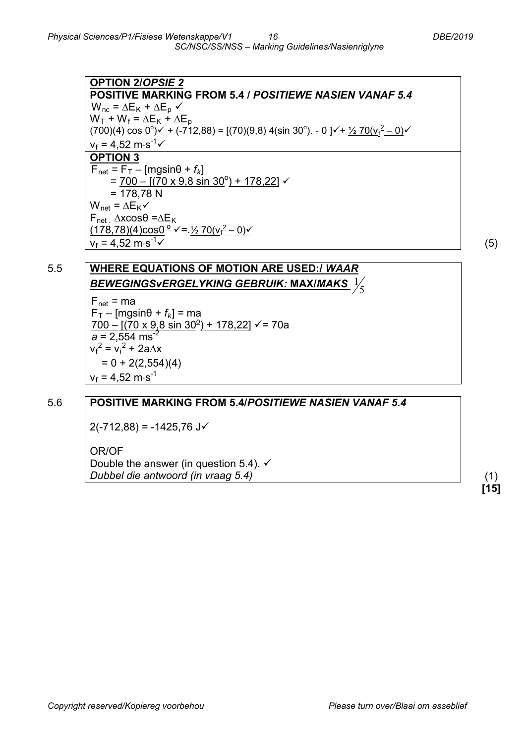**OPTION 2/***OPSIE 2* **POSITIVE MARKING FROM 5.4 /** *POSITIEWE NASIEN VANAF 5.4*   $W_{nc} = \Delta E_K + \Delta E_p$   $\checkmark$  $W_T + W_f = \Delta E_K + \Delta E_p$  $(700)(4) \cos 0^{\circ}$ ) $\checkmark$  + (-712,88) = [(70)(9,8) 4(sin 30 $^{\circ}$ ). - 0 ] $\checkmark$  + <u>½ 70(v<sub>f</sub><sup>2</sup> – 0)</u> $\checkmark$  $v_f = 4,52 \text{ m·s}^{-1}$ **OPTION 3**  $F_{\text{net}} = F_T - [mg\sin\theta + f_k]$ = <u>700 – [(70 x 9,8 sin 30º) + 178,22</u>] ✓  $= 178,78 N$  $W_{\text{net}} = \Delta E_K$  $F_{net}$  .  $\Delta x \cos \theta = \Delta E_K$ (178,78)(4)cos0 <sup>o</sup> =.½ 70(vf <sup>2</sup> – 0)  $v_f = 4.52 \text{ m·s}^{-1}$  $\checkmark$  (5)

# 5.5 **WHERE EQUATIONS OF MOTION ARE USED:/** *WAAR*   $\bm{BEWEGINGSVERGELYKING GEBRUIK: MAXIMAKS \hspace{0.1cm} // 5$

 $F_{net}$  = ma  $F_T$  – [mgsin $\theta$  +  $f_k$ ] = ma 700 – [(70 x 9,8 sin 30o ) + 178,22] = 70a  $a = 2,554 \text{ ms}^{-2}$  $v_f^2 = v_i^2 + 2a\Delta x$  $= 0 + 2(2,554)(4)$  $v_f = 4.52$  m⋅s<sup>-1</sup>

# 5.6 **POSITIVE MARKING FROM 5.4/***POSITIEWE NASIEN VANAF 5.4*

 $2(-712,88) = -1425,76$  J

OR/OF Double the answer (in question 5.4).  $\checkmark$ *Dubbel die antwoord (in vraag 5.4)* (1)

**[15]**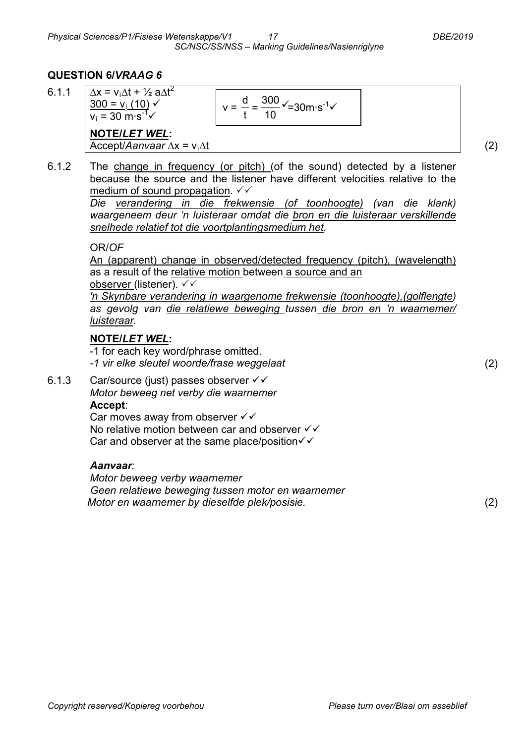#### *Physical Sciences/P1/Fisiese Wetenskappe/V1 17 DBE/2019 SC/NSC/SS/NSS – Marking Guidelines/Nasienriglyne*

#### **QUESTION 6/***VRAAG 6*

 $300 = v_i (10)$  $v_i = 30 \text{ m·s}^{-1}$ 

6.1.1  $\Delta x = v_i \Delta t + \frac{1}{2} a \Delta t^2$ 

$$
v = \frac{d}{t} = \frac{300}{10} \sqrt{3} = 30 \text{ m} \cdot \text{s}^{-1} \sqrt{3}
$$

**NOTE/***LET WEL***:** Accept/*Aanvaar* ∆x = vi∆t (2)

6.1.2 The change in frequency (or pitch) (of the sound) detected by a listener because the source and the listener have different velocities relative to the medium of sound propagation.  $\sqrt{\sqrt{ }}$ 

> *Die verandering in die frekwensie (of toonhoogte) (van die klank) waargeneem deur 'n luisteraar omdat die bron en die luisteraar verskillende snelhede relatief tot die voortplantingsmedium het.*

#### OR/*OF*

An (apparent) change in observed/detected frequency (pitch), (wavelength) as a result of the relative motion between a source and an observer (listener). √

*'n Skynbare verandering in waargenome frekwensie (toonhoogte),(golflengte) as gevolg van die relatiewe beweging tussen die bron en 'n waarnemer/ luisteraar.*

#### **NOTE/***LET WEL***:**

-1 for each key word/phrase omitted. *-1 vir elke sleutel woorde/frase weggelaat* (2)

6.1.3 Car/source (just) passes observer  $\checkmark\checkmark$ *Motor beweeg net verby die waarnemer* **Accept**:

Car moves away from observer  $\checkmark\checkmark$ No relative motion between car and observer  $\checkmark\checkmark$ Car and observer at the same place/position $\checkmark$ 

#### *Aanvaar:*

*Motor beweeg verby waarnemer Geen relatiewe beweging tussen motor en waarnemer Motor en waarnemer by dieselfde plek/posisie.* (2)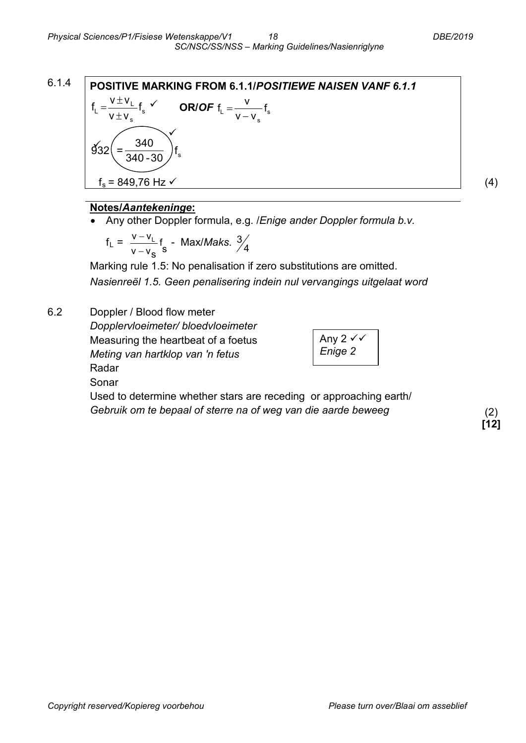

# **Notes/***Aantekeninge***:**

• Any other Doppler formula, e.g. /*Enige ander Doppler formula b.v.*

$$
f_{L} = \frac{v - v_{L}}{v - v_{S}} f_{S} - \text{Max/Maks. } \frac{3}{4}
$$

Marking rule 1.5: No penalisation if zero substitutions are omitted. *Nasienreël 1.5. Geen penalisering indein nul vervangings uitgelaat word*

6.2 Doppler / Blood flow meter

*Dopplervloeimeter/ bloedvloeimeter* Measuring the heartbeat of a foetus *Meting van hartklop van 'n fetus* Radar Sonar

| Any $2 \checkmark$<br>Enige 2 |  |
|-------------------------------|--|
|                               |  |

Used to determine whether stars are receding or approaching earth/ *Gebruik om te bepaal of sterre na of weg van die aarde beweeg* (2)

**[12]**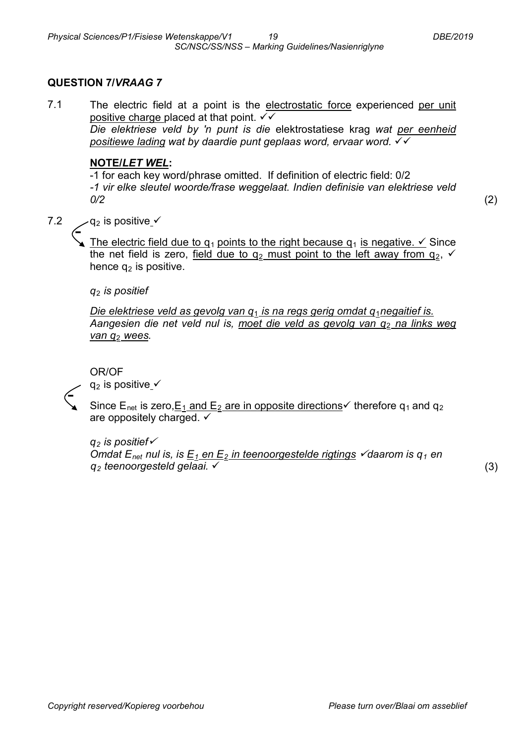#### **QUESTION 7/***VRAAG 7*

7.1 The electric field at a point is the electrostatic force experienced per unit positive charge placed at that point.  $\checkmark\checkmark$ *Die elektriese veld by 'n punt is die* elektrostatiese krag *wat per eenheid* 

*positiewe lading wat by daardie punt geplaas word, ervaar word.*

#### **NOTE/***LET WEL***:**

-1 for each key word/phrase omitted. If definition of electric field: 0/2 *-1 vir elke sleutel woorde/frase weggelaat. Indien definisie van elektriese veld 0/2* (2)

# 7.2  $\angle$  q<sub>2</sub> is positive  $\checkmark$  $\leq$

The electric field due to  $q_1$  points to the right because  $q_1$  is negative.  $\checkmark$  Since the net field is zero, field due to  $q_2$  must point to the left away from  $q_2$ ,  $\checkmark$ hence  $q_2$  is positive.

*q*<sup>2</sup> *is positief*

*Die elektriese veld as gevolg van q*<sup>1</sup> *is na regs gerig omdat q*1*negaitief is. Aangesien die net veld nul is, moet die veld as gevolg van q*<sup>2</sup> *na links weg van q*<sup>2</sup> *wees.*

OR/OF



 $q_2$  is positive  $\checkmark$ 

Since E<sub>net</sub> is zero,  $E_1$  and  $E_2$  are in opposite directions  $\checkmark$  therefore q<sub>1</sub> and q<sub>2</sub> are oppositely charged.  $\checkmark$ 

 $q_2$  *is positief* 

*Omdat E<sub>net</sub> nul is, is*  $E_1$  *en*  $E_2$  *in teenoorgestelde rigtings*  $\checkmark$  *daarom is q<sub>1</sub> en q2 teenoorgesteld gelaai.* (3)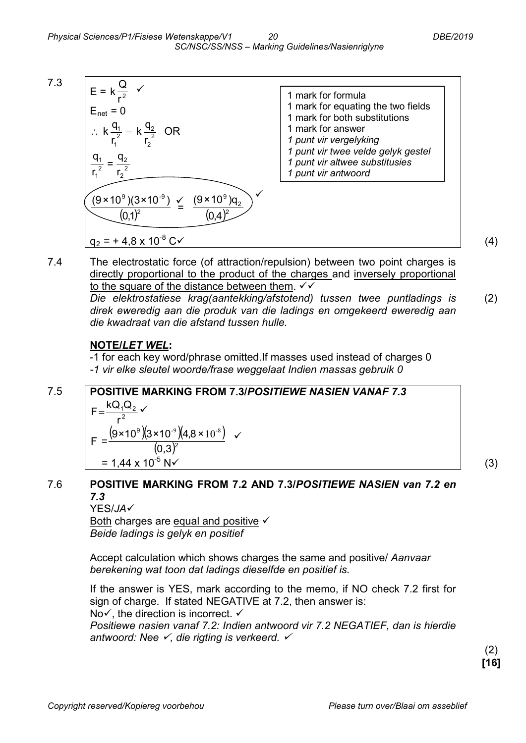

7.4 The electrostatic force (of attraction/repulsion) between two point charges is directly proportional to the product of the charges and inversely proportional to the square of the distance between them.  $\checkmark\checkmark$ 

> *Die elektrostatiese krag(aantekking/afstotend) tussen twee puntladings is direk eweredig aan die produk van die ladings en omgekeerd eweredig aan die kwadraat van die afstand tussen hulle.* (2)

#### **NOTE/***LET WEL***:**

-1 for each key word/phrase omitted.If masses used instead of charges 0 *-1 vir elke sleutel woorde/frase weggelaat Indien massas gebruik 0*

7.5 **POSITIVE MARKING FROM 7.3/***POSITIEWE NASIEN VANAF 7.3* 2  $1 - 2$ r  $F=\frac{kQ_1Q_2}{r^2}$  $(9\times10^{9})$  $(3\times10^{-9})$  $(4,8\times10^{-8})$  $(0,3)^2$ 9 0,3 9×10° 13×10° 14,8×  $F =$  $\frac{(-9)(4.8 \times 10^{-8})}{\sqrt{1}}$  $= 1,44 \times 10^{-5} \text{ N}$  (3)

#### 7.6 **POSITIVE MARKING FROM 7.2 AND 7.3/***POSITIEWE NASIEN van 7.2 en 7.3*

YES/*JA* Both charges are equal and positive  $\checkmark$ *Beide ladings is gelyk en positief*

Accept calculation which shows charges the same and positive/ *Aanvaar berekening wat toon dat ladings dieselfde en positief is.*

If the answer is YES, mark according to the memo, if NO check 7.2 first for sign of charge. If stated NEGATIVE at 7.2, then answer is: No $\checkmark$ , the direction is incorrect.  $\checkmark$ 

*Positiewe nasien vanaf 7.2: Indien antwoord vir 7.2 NEGATIEF, dan is hierdie antwoord: Nee , die rigting is verkeerd.* 

> (2) **[16]**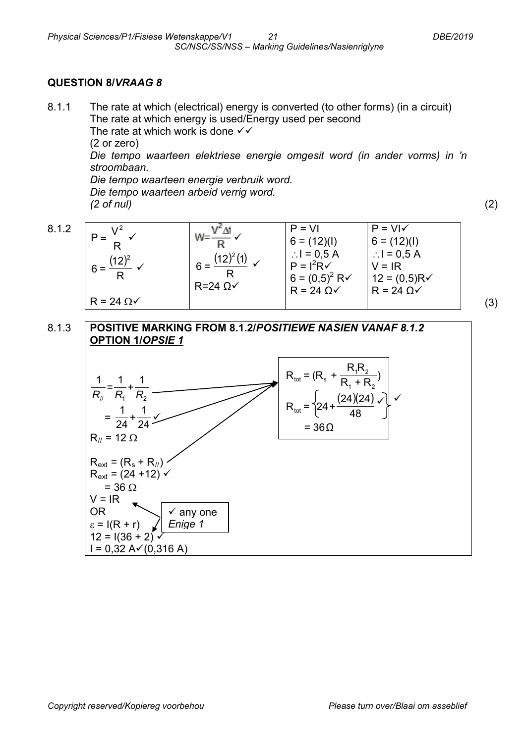# **QUESTION 8/***VRAAG 8*

8.1.1 The rate at which (electrical) energy is converted (to other forms) (in a circuit) The rate at which energy is used/Energy used per second The rate at which work is done  $\checkmark\checkmark$ (2 or zero) *Die tempo waarteen elektriese energie omgesit word (in ander vorms) in 'n stroombaan. Die tempo waarteen energie verbruik word. Die tempo waarteen arbeid verrig word. (2 of nul)* (2)

$$
8.1.2
$$

R <sup>V</sup> <sup>P</sup> 2 = ( ) R <sup>12</sup> <sup>6</sup> <sup>=</sup> 2 R = 24 Ω ( ) ( ) R 12 1 6 = 2 R=24 Ω P = VI 6 = (12)(I) ∴I = 0,5 A P = I2 R 6 = (0,5)2 R R = 24 Ω P = VI 6 = (12)(I) ∴I = 0,5 A V = IR 12 = (0,5)R R = 24 Ω (3) 

#### 8.1.3 **POSITIVE MARKING FROM 8.1.2/***POSITIEWE NASIEN VANAF 8.1.2* **OPTION 1/***OPSIE 1*

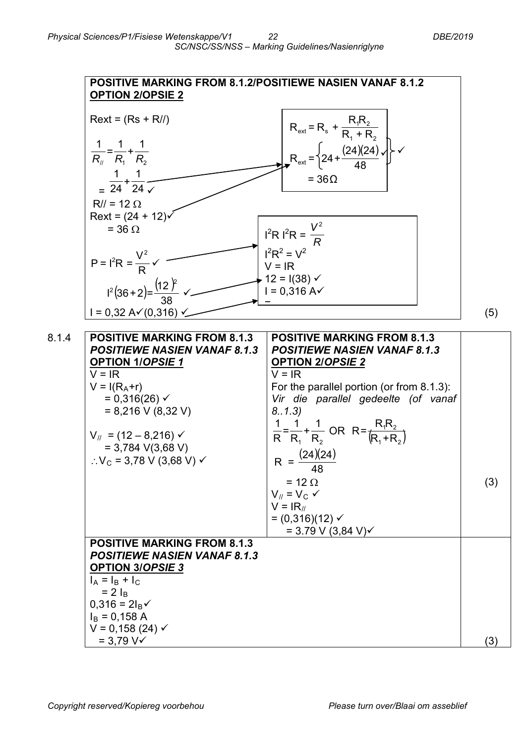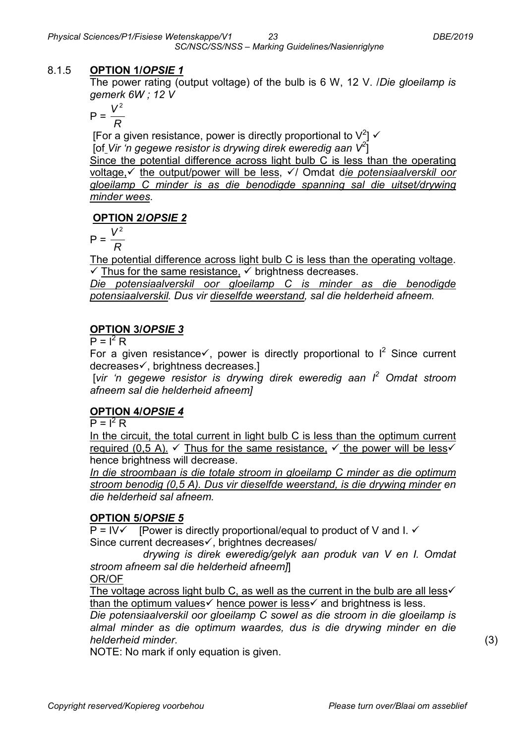# 8.1.5 **OPTION 1/***OPSIE 1*

The power rating (output voltage) of the bulb is 6 W, 12 V. /*Die gloeilamp is gemerk 6W ; 12 V*

$$
P = \frac{V^2}{R}
$$

[For a given resistance, power is directly proportional to  $\vee^2$ ]  $\checkmark$ [of *Vir 'n gegewe resistor is drywing direk eweredig aan V2* ] Since the potential difference across light bulb C is less than the operating voltage, ithe output/power will be less,  $\checkmark$  / Omdat die potensiaalverskil oor *gloeilamp C minder is as die benodigde spanning sal die uitset/drywing minder wees*.

# **OPTION 2/***OPSIE 2*

$$
P = \frac{V^2}{R}
$$

The potential difference across light bulb C is less than the operating voltage.  $\checkmark$  Thus for the same resistance,  $\checkmark$  brightness decreases.

*Die potensiaalverskil oor gloeilamp C is minder as die benodigde potensiaalverskil. Dus vir dieselfde weerstand, sal die helderheid afneem.*

# **OPTION 3/***OPSIE 3*

 $P = I^2 R$ 

For a given resistance  $\leq$ , power is directly proportional to  $I^2$  Since current decreases $\checkmark$ , brightness decreases.]

[*vir 'n gegewe resistor is drywing direk eweredig aan I2 Omdat stroom afneem sal die helderheid afneem]*

# **OPTION 4/***OPSIE 4*

 $P = I^2 R$ 

In the circuit, the total current in light bulb C is less than the optimum current required (0,5 A).  $\checkmark$  Thus for the same resistance,  $\checkmark$  the power will be less $\checkmark$ hence brightness will decrease.

*In die stroombaan is die totale stroom in gloeilamp C minder as die optimum stroom benodig (0,5 A). Dus vir dieselfde weerstand, is die drywing minder en die helderheid sal afneem.*

# **OPTION 5/***OPSIE 5*

 $P = IV \checkmark$  [Power is directly proportional/equal to product of V and I.  $\checkmark$ Since current decreases in brightnes decreases/

 *drywing is direk eweredig/gelyk aan produk van V en I. Omdat stroom afneem sal die helderheid afneem]*]

# OR/OF

The voltage across light bulb C, as well as the current in the bulb are all less  $\checkmark$ than the optimum values  $\checkmark$  hence power is less  $\checkmark$  and brightness is less.

*Die potensiaalverskil oor gloeilamp C sowel as die stroom in die gloeilamp is almal minder as die optimum waardes, dus is die drywing minder en die helderheid minder.* (3)

NOTE: No mark if only equation is given.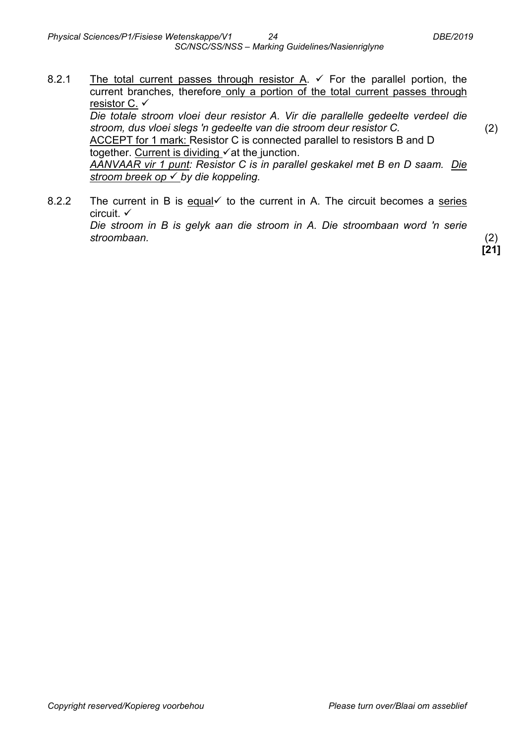- 8.2.1 The total current passes through resistor  $A \sim$  For the parallel portion, the current branches, therefore only a portion of the total current passes through resistor C. *Die totale stroom vloei deur resistor A. Vir die parallelle gedeelte verdeel die stroom, dus vloei slegs 'n gedeelte van die stroom deur resistor C.* (2) ACCEPT for 1 mark: Resistor C is connected parallel to resistors B and D together. Current is dividing  $\checkmark$  at the junction. *AANVAAR vir 1 punt: Resistor C is in parallel geskakel met B en D saam. Die stroom breek op by die koppeling.*
- 8.2.2 The current in B is equal to the current in A. The circuit becomes a series circuit.  $\checkmark$ *Die stroom in B is gelyk aan die stroom in A. Die stroombaan word 'n serie stroombaan.* (2)

**[21]**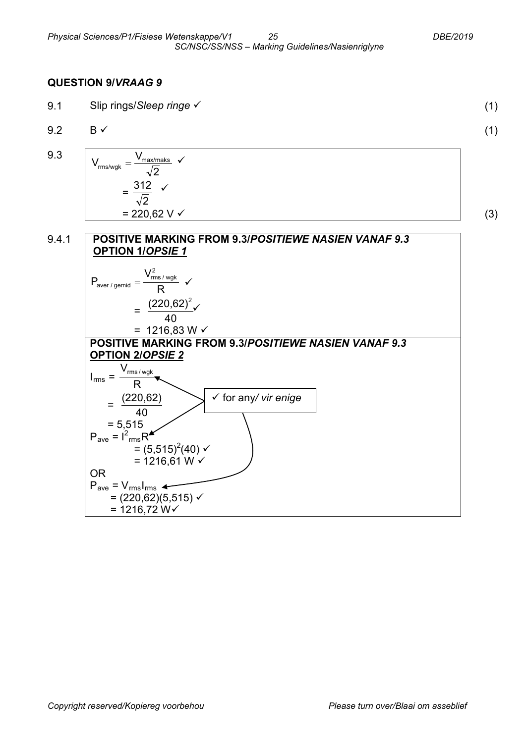#### **QUESTION 9/***VRAAG 9*

2

| 9.1 | Slip rings/Sleep ringe √ |  |  |
|-----|--------------------------|--|--|
|-----|--------------------------|--|--|

$$
9.2 \qquad B \checkmark \tag{1}
$$

9.3  $V_{\rm rms/wgk} = \frac{V_{\rm max/maks}}{\sqrt{2}}$   $\checkmark$ 

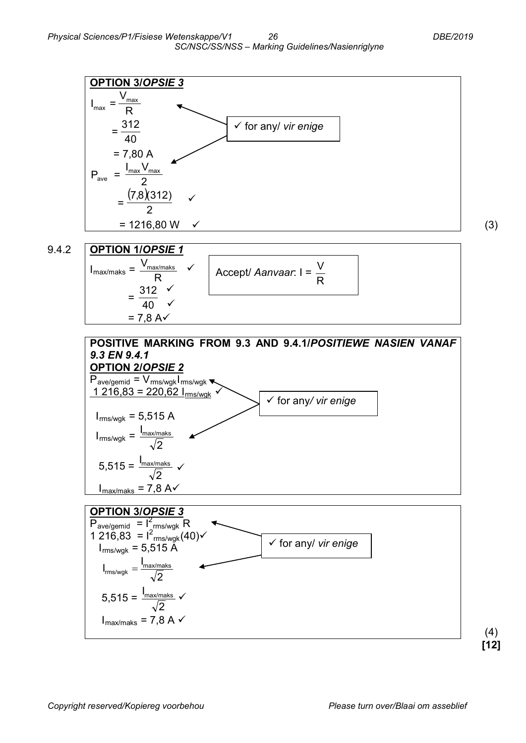

(4) **[12]**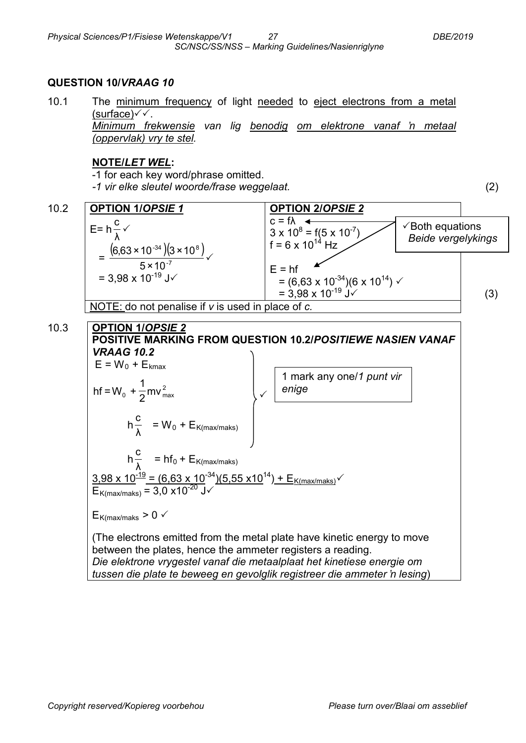*Physical Sciences/P1/Fisiese Wetenskappe/V1 27 DBE/2019 SC/NSC/SS/NSS – Marking Guidelines/Nasienriglyne*

#### **QUESTION 10/***VRAAG 10*

10.1 The minimum frequency of light needed to eject electrons from a metal  $(surface) \vee \vee$ .

*Minimum frekwensie van lig benodig om elektrone vanaf 'n metaal (oppervlak) vry te stel.*

#### **NOTE/***LET WEL***:**

-1 for each key word/phrase omitted.

*-1 vir elke sleutel woorde/frase weggelaat.* (2)